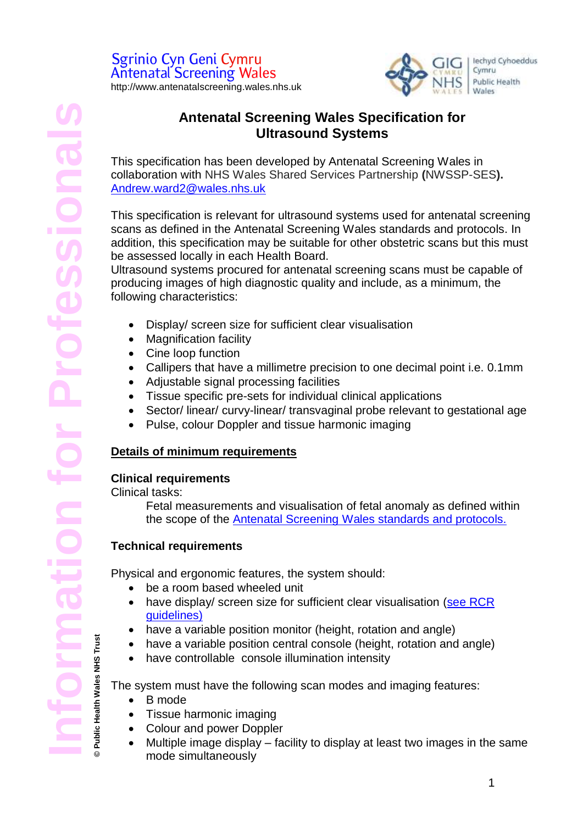

## **Antenatal Screening Wales Specification for Ultrasound Systems**

This specification has been developed by Antenatal Screening Wales in collaboration with NHS Wales Shared Services Partnership **(**NWSSP-SES**).** [Andrew.ward2@wales.nhs.uk](mailto:Andrew.ward2@wales.nhs.uk)

This specification is relevant for ultrasound systems used for antenatal screening scans as defined in the Antenatal Screening Wales standards and protocols. In addition, this specification may be suitable for other obstetric scans but this must be assessed locally in each Health Board.

Ultrasound systems procured for antenatal screening scans must be capable of producing images of high diagnostic quality and include, as a minimum, the following characteristics:

- Display/ screen size for sufficient clear visualisation
- Magnification facility
- Cine loop function
- Callipers that have a millimetre precision to one decimal point i.e. 0.1mm
- Adjustable signal processing facilities
- Tissue specific pre-sets for individual clinical applications
- Sector/ linear/ curvy-linear/ transvaginal probe relevant to gestational age
- Pulse, colour Doppler and tissue harmonic imaging

## **Details of minimum requirements**

## **Clinical requirements**

Clinical tasks:

Fetal measurements and visualisation of fetal anomaly as defined within the scope of the [Antenatal Screening Wales standards and protocols.](https://phw.nhs.wales/services-and-teams/screening/antenatal-screening-wales/information-for-professionals/)

## **Technical requirements**

Physical and ergonomic features, the system should:

- be a room based wheeled unit
- have display/ screen size for sufficient clear visualisation (see RCR [guidelines\)](https://www.rcr.ac.uk/system/files/publication/field_publication_files/BFCR%2814%2917_Standards_ultrasound.pdf)
- have a variable position monitor (height, rotation and angle)
- have a variable position central console (height, rotation and angle)
- have controllable console illumination intensity

The system must have the following scan modes and imaging features:

• B mode

**© Public Health Wales NHS Trust**

Public Health Wales NHS Trust

- Tissue harmonic imaging
- Colour and power Doppler
- Multiple image display facility to display at least two images in the same mode simultaneously

1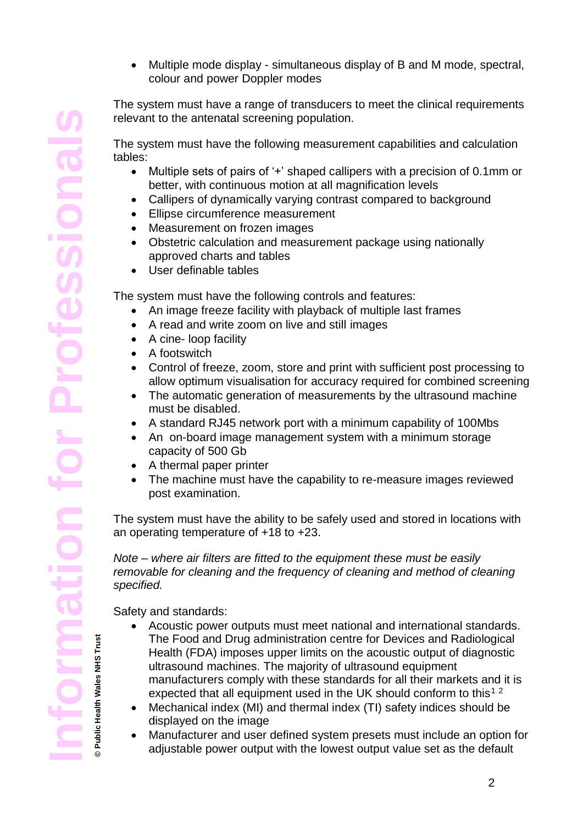Multiple mode display - simultaneous display of B and M mode, spectral, colour and power Doppler modes

The system must have a range of transducers to meet the clinical requirements relevant to the antenatal screening population.

The system must have the following measurement capabilities and calculation tables:

- Multiple sets of pairs of '+' shaped callipers with a precision of 0.1mm or better, with continuous motion at all magnification levels
- Callipers of dynamically varying contrast compared to background
- Ellipse circumference measurement
- Measurement on frozen images
- Obstetric calculation and measurement package using nationally approved charts and tables
- User definable tables

The system must have the following controls and features:

- An image freeze facility with playback of multiple last frames
- A read and write zoom on live and still images
- A cine- loop facility
- A footswitch
- Control of freeze, zoom, store and print with sufficient post processing to allow optimum visualisation for accuracy required for combined screening
- The automatic generation of measurements by the ultrasound machine must be disabled.
- A standard RJ45 network port with a minimum capability of 100Mbs
- An on-board image management system with a minimum storage capacity of 500 Gb
- A thermal paper printer
- The machine must have the capability to re-measure images reviewed post examination.

The system must have the ability to be safely used and stored in locations with an operating temperature of +18 to +23.

*Note – where air filters are fitted to the equipment these must be easily removable for cleaning and the frequency of cleaning and method of cleaning specified.*

Safety and standards:

- Acoustic power outputs must meet national and international standards. The Food and Drug administration centre for Devices and Radiological Health (FDA) imposes upper limits on the acoustic output of diagnostic ultrasound machines. The majority of ultrasound equipment manufacturers comply with these standards for all their markets and it is expected that all equipment used in the UK should conform to this<sup>12</sup>
- Mechanical index (MI) and thermal index (TI) safety indices should be displayed on the image
- Manufacturer and user defined system presets must include an option for adjustable power output with the lowest output value set as the default

**© Public Health Wales NHS Trust**

**Public Health Wales NHS Trust**